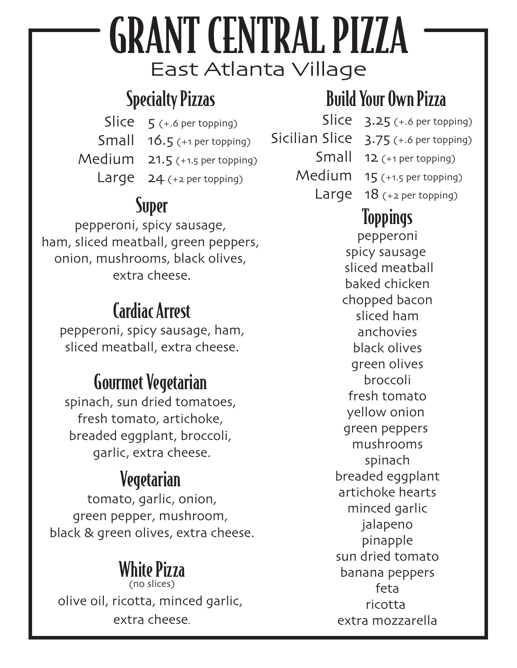# East Atlanta Village GRANT CENTRAL PIZZA

# Specialty Pizzas

Slice 5 (+.6 per topping) Small 16.5 (+1 per topping) Medium 21.5 (+1.5 per topping) Large 24 (+2 per topping)

#### Super

pepperoni, spicy sausage, ham, sliced meatball, green peppers, onion, mushrooms, black olives, extra cheese.

## Cardiac Arrest

pepperoni, spicy sausage, ham, sliced meatball, extra cheese.

# Gourmet Vegetarian

spinach, sun dried tomatoes, fresh tomato, artichoke, breaded eggplant, broccoli, garlic, extra cheese.

# Vegetarian

tomato, garlic, onion, green pepper, mushroom, black & green olives, extra cheese.

#### White Pizza (no slices)

olive oil, ricotta, minced garlic, extra cheese.

# Build Your Own Pizza

 $Slice 3.25$  (+.6 per topping)

- Sicilian Slice 3.75 (+.6 per topping)
	- Small 12 (+1 per topping)
	- Medium 15 (+1.5 per topping)
		- Large 18 (+2 per topping)

### Toppings

pepperoni spicy sausage sliced meatball baked chicken chopped bacon sliced ham anchovies black olives green olives broccoli fresh tomato yellow onion green peppers mushrooms spinach breaded eggplant artichoke hearts minced garlic jalapeno pinapple sun dried tomato banana peppers feta ricotta extra mozzarella